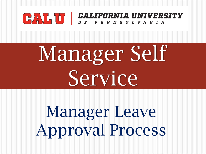## CALIFORNIA UNIVERSITY

# Manager Self Service

# Manager Leave Approval Process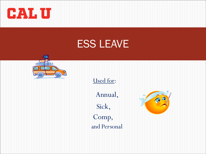

### ESS LEAVE



Used for:

Annual,

Sick, and Personal Comp,

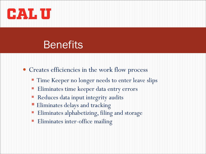

### **Benefits**

- Creates efficiencies in the work flow process
	- Time Keeper no longer needs to enter leave slips
	- Eliminates time keeper data entry errors
	- Reduces data input integrity audits
	- Eliminates delays and tracking
	- Eliminates alphabetizing, filing and storage
	- Eliminates inter-office mailing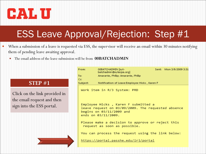

- When a submission of a leave is requested via ESS, the supervisor will receive an email within 30 minutes notifying them of pending leave awaiting approval.
	- The email address of the leave submission will be from **00BATCHADMIN**

#### STEP #1

Click on the link provided in the email request and then sign into the ESS portal.

| From:                                                                                                                                        | 00BATCHADMIN [syt-<br>Sent: Mon 3/9/2009 3:31<br>batchadmin@sytecpa.org] |  |  |  |
|----------------------------------------------------------------------------------------------------------------------------------------------|--------------------------------------------------------------------------|--|--|--|
| To:                                                                                                                                          | Amarante, Phillip; Amarante, Phillip                                     |  |  |  |
| Cc:                                                                                                                                          |                                                                          |  |  |  |
| Subject: The                                                                                                                                 | Notification of Leave: Employee Hicks, Karen F                           |  |  |  |
|                                                                                                                                              | Work item in R/3 System: PRD                                             |  |  |  |
| Employee Hicks, Karen F submitted a<br>leave request on 03/09/2009. The requested absence<br>begins on 03/11/2009 and<br>ends on 03/11/2009. |                                                                          |  |  |  |
| Please make a decision to approve or reject this<br>request as soon as possible.                                                             |                                                                          |  |  |  |
|                                                                                                                                              | You can process the request using the link below:                        |  |  |  |
| https://portal.passhe.edu/irj/portal                                                                                                         |                                                                          |  |  |  |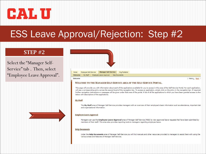

#### STEP #2

Select the "Manager Self-Service" tab . Then, select "Employee Leave Approval".



#### WELCOME TO THE MANAGER SELF-SERVICE AREA OF THE SELF-SERVICE PORTAL.

This page will provide you with information about each of the applications available for you to access in this area of the Self-Service Portal. For each application, will see a corresponding entry across the second level of the navigation bar. To access an application, simply click on the entry in the navigation bar. If required, further navigation instructions or messages will be given under that area of the portal. A list of all the applications to which you have been granted access is shov below with descriptions of the applications.

#### **My Staff**

The My Staff area of Manager Self-Service provides managers with an overview of their employee's basic information such as attendance, important date and organizational information.

#### **Employee Leave Approval**

Managers can use the Employee Leave Approval area of Manager Self-Service (MSS) to view approved leave requests that have been submitted by members of their staff. This area also provides reporting tools to managers regarding employee leave.

#### **Help Documents**

Under the Help Documents area of Manager Self-Service you will find manuals and other resources provided to managers to assist them with using the various areas and features of Manager Self-Service.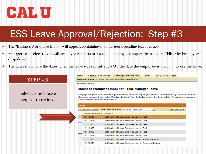

- The "Business Workplace Inbox" will appear, containing the manager's pending leave request.
- Managers can select to view all employee requests or a specific employee's request by using the "Filter by Employees" drop down menu.
- The dates shown are the dates when the leave was submitted, NOT the date the employee is planning to use the leave.

### STEP #3

Select a single leave request to review.

| Home                                                         | Employee Self-Service | <b>Manager Self-Service</b> | eTime | SyTEC Internal Tools |
|--------------------------------------------------------------|-----------------------|-----------------------------|-------|----------------------|
| <b>Business Inbox</b><br>View Leave Requests Processed By Me |                       |                             |       |                      |

**Business Inbox** 

#### **Business Workplace Inbox for: Test, Manager Leave**

This page will give a list of all items in your business inbox that require your attention. Start by clicking the button to the left of an entry to select it, then select "Display Inbox Item" from the toolbar to view the item's details. All available processing options will then show in a new window.

| Inbox                                                                             |                                                        |  |  |
|-----------------------------------------------------------------------------------|--------------------------------------------------------|--|--|
| Filter By Employee Show All Employees<br>Display Inbox Item<br>Refresh Inbox<br>▼ |                                                        |  |  |
| <b>Submission Date</b>                                                            | <b>Subject</b>                                         |  |  |
| 12/11/2008                                                                        | Notification of Leave:Employee Leave, Test             |  |  |
| 12/11/2008                                                                        | Notification of Leave:Employee Leave, Test             |  |  |
| 12/11/2008                                                                        | Notification of Leave:Employee Leave, Test             |  |  |
| 12/11/2008                                                                        | Notification of Leave:Employee Leave, Test             |  |  |
| 12/11/2008                                                                        | Notification of Leave:Employee Leave, Test             |  |  |
| 12/11/2008                                                                        | Notification of Leave:Employee Leave, Test             |  |  |
| 12/12/2008                                                                        | Notification of Leave:Employee Peiffer, Agnes Margaret |  |  |
| 12/12/2008                                                                        | Notification of Leave:Employee Leave, Employee Request |  |  |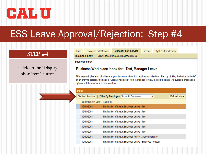

Employee Self-Service

#### STEP #4

Click on the "Display Inbox Item" button.

**Manager Self-Service** 

Business Inbox | View Leave Requests Processed By Me

**Business Inbox** 

Home

#### **Business Workplace Inbox for: Test, Manager Leave**

This page will give a list of all items in your business inbox that require your attention. Start by clicking the button to the left of an entry to select it, then select "Display Inbox Item" from the toolbar to view the item's details. All available processing options will then show in a new window.

eTime

SyTEC Internal Tools

| <b>Inbox</b> |                        |                                                             |
|--------------|------------------------|-------------------------------------------------------------|
|              | Display Inbox Item     | Filter By Employee Show All Employees<br>Refresh Inbox<br>▼ |
|              | <b>Submission Date</b> | <b>Subject</b>                                              |
|              | 12/11/2008             | Notification of Leave:Employee Leave, Test                  |
|              | 12/11/2008             | Notification of Leave:Employee Leave, Test                  |
|              | 12/11/2008             | Notification of Leave:Employee Leave, Test                  |
|              | 12/11/2008             | Notification of Leave:Employee Leave, Test                  |
|              | 12/11/2008             | Notification of Leave:Employee Leave, Test                  |
|              | 12/11/2008             | Notification of Leave:Employee Leave, Test                  |
|              | 12/12/2008             | Notification of Leave:Employee Peiffer, Agnes Margaret      |
|              | 12/12/2008             | Notification of Leave:Employee Leave, Employee Request      |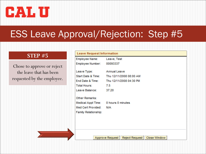

#### STEP #5

Chose to approve or reject the leave that has been requested by the employee.

| Employee Name:                       | Leave, Test                                |
|--------------------------------------|--------------------------------------------|
| Employee Number: 00093337            |                                            |
| Leave Type:                          | <b>Annual Leave</b>                        |
|                                      | Start Date & Time: Thu 12/11/2008 08:00 AM |
|                                      | End Date & Time: Thu 12/11/2008 04:30 PM   |
| <b>Total Hours:</b>                  | 7.5                                        |
| Leave Balance:                       | 37.20                                      |
| Other Remarks:                       |                                            |
| Medical Appt Time: 0 hours 0 minutes |                                            |
| Med Cert Provided:                   | N/A                                        |
| Family Relationship:                 |                                            |
|                                      |                                            |
|                                      |                                            |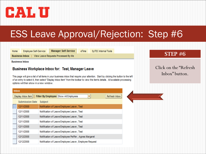

Home

**Employee Self-Service Manager Self-Service**  SyTEC Internal Tools

Business Inbox | View Leave Requests Processed By Me

eTime

**Business Inbox** 

#### **Business Workplace Inbox for: Test, Manager Leave**

This page will give a list of all items in your business inbox that require your attention. Start by clicking the button to the left of an entry to select it, then select "Display Inbox Item" from the toolbar to view the item's details. All available processing options will then show in a new window.

| <b>Inbox</b> |                        |                                                        |  |
|--------------|------------------------|--------------------------------------------------------|--|
|              | Display Inbox Item     | Filter By Employee Show All Employees<br>Refresh Inbox |  |
|              | <b>Submission Date</b> | <b>Subject</b>                                         |  |
|              | 12/11/2008             | Notification of Leave:Employee Leave, Test             |  |
|              | 12/11/2008             | Notification of Leave:Employee Leave, Test             |  |
|              | 12/11/2008             | Notification of Leave:Employee Leave, Test             |  |
|              | 12/11/2008             | Notification of Leave:Employee Leave, Test             |  |
|              | 12/11/2008             | Notification of Leave:Employee Leave, Test             |  |
|              | 12/11/2008             | Notification of Leave:Employee Leave, Test             |  |
|              | 12/12/2008             | Notification of Leave:Employee Peiffer, Agnes Margaret |  |
|              | 12/12/2008             | Notification of Leave:Employee Leave, Employee Request |  |

### STEP #6

Click on the "Refresh Inbox" button.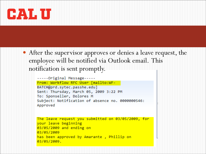

 After the supervisor approves or denies a leave request, the employee will be notified via Outlook email. This notification is sent promptly.

-----Original Message-----From: Workflow RFC User [mailto:WF-BATCH@prd.sytec.passhe.edu] Sent: Thursday, March 05, 2009 3:22 PM To: Sponseller, Dolores M Subject: Notification of absence no. 0000000546: Approved

```
The leave request you submitted on 03/05/2009, for
your leave beginning
03/05/2009 and ending on
03/05/2009
has been approved by Amarante, Phillip on
03/05/2009.
```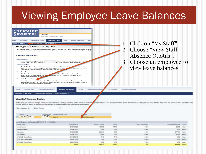### Viewing Employee Leave Balances

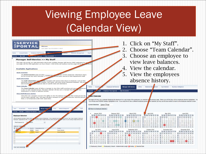## Viewing Employee Leave (Calendar View)

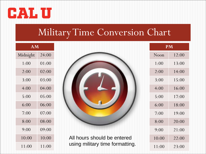

### Military Time Conversion Chart

| AM       |       |  |
|----------|-------|--|
| Midnight | 24:00 |  |
| 1:00     | 01:00 |  |
| 2:00     | 02:00 |  |
| 3:00     | 03:00 |  |
| 4:00     | 04:00 |  |
| 5:00     | 05:00 |  |
| 6:00     | 06:00 |  |
| 7:00     | 07:00 |  |
| 8:00     | 08:00 |  |
| 9:00     | 09:00 |  |
| 10:00    | 10:00 |  |
| 11:00    | 11:00 |  |



All hours should be entered using military time formatting.

| <b>PM</b> |       |  |
|-----------|-------|--|
| Noon      | 12:00 |  |
| 1:00      | 13:00 |  |
| 2:00      | 14:00 |  |
| 3:00      | 15:00 |  |
| 4:00      | 16:00 |  |
| 5:00      | 17:00 |  |
| 6:00      | 18:00 |  |
| 7:00      | 19:00 |  |
| 8:00      | 20:00 |  |
| 9:00      | 21:00 |  |
| 10:00     | 22:00 |  |
| 11:00     | 23:00 |  |